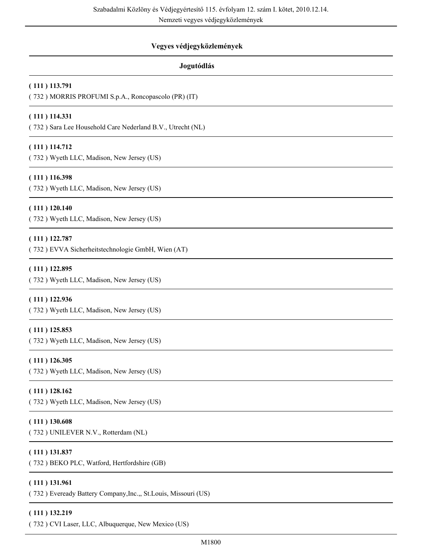Nemzeti vegyes védjegyközlemények

# **Vegyes védjegyközlemények**

# **Jogutódlás**

# **( 111 ) 113.791**

( 732 ) MORRIS PROFUMI S.p.A., Roncopascolo (PR) (IT)

# **( 111 ) 114.331**

( 732 ) Sara Lee Household Care Nederland B.V., Utrecht (NL)

# **( 111 ) 114.712**

( 732 ) Wyeth LLC, Madison, New Jersey (US)

# **( 111 ) 116.398**

( 732 ) Wyeth LLC, Madison, New Jersey (US)

# **( 111 ) 120.140**

( 732 ) Wyeth LLC, Madison, New Jersey (US)

# **( 111 ) 122.787**

( 732 ) EVVA Sicherheitstechnologie GmbH, Wien (AT)

# **( 111 ) 122.895**

( 732 ) Wyeth LLC, Madison, New Jersey (US)

# **( 111 ) 122.936**

( 732 ) Wyeth LLC, Madison, New Jersey (US)

# **( 111 ) 125.853**

( 732 ) Wyeth LLC, Madison, New Jersey (US)

# **( 111 ) 126.305**

( 732 ) Wyeth LLC, Madison, New Jersey (US)

# **( 111 ) 128.162**

( 732 ) Wyeth LLC, Madison, New Jersey (US)

#### **( 111 ) 130.608**

( 732 ) UNILEVER N.V., Rotterdam (NL)

# **( 111 ) 131.837**

( 732 ) BEKO PLC, Watford, Hertfordshire (GB)

#### **( 111 ) 131.961**

( 732 ) Eveready Battery Company,Inc.,, St.Louis, Missouri (US)

#### **( 111 ) 132.219**

( 732 ) CVI Laser, LLC, Albuquerque, New Mexico (US)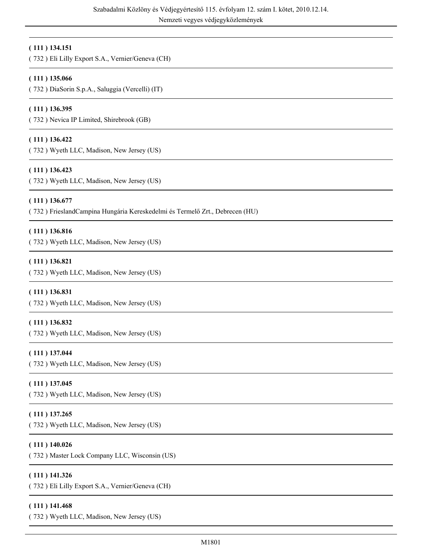# **( 111 ) 134.151**

( 732 ) Eli Lilly Export S.A., Vernier/Geneva (CH)

# **( 111 ) 135.066**

( 732 ) DiaSorin S.p.A., Saluggia (Vercelli) (IT)

#### **( 111 ) 136.395**

( 732 ) Nevica IP Limited, Shirebrook (GB)

### **( 111 ) 136.422**

( 732 ) Wyeth LLC, Madison, New Jersey (US)

#### **( 111 ) 136.423**

( 732 ) Wyeth LLC, Madison, New Jersey (US)

#### **( 111 ) 136.677**

( 732 ) FrieslandCampina Hungária Kereskedelmi és Termelő Zrt., Debrecen (HU)

#### **( 111 ) 136.816**

( 732 ) Wyeth LLC, Madison, New Jersey (US)

#### **( 111 ) 136.821**

( 732 ) Wyeth LLC, Madison, New Jersey (US)

#### **( 111 ) 136.831**

( 732 ) Wyeth LLC, Madison, New Jersey (US)

#### **( 111 ) 136.832**

( 732 ) Wyeth LLC, Madison, New Jersey (US)

#### **( 111 ) 137.044**

( 732 ) Wyeth LLC, Madison, New Jersey (US)

#### **( 111 ) 137.045**

( 732 ) Wyeth LLC, Madison, New Jersey (US)

#### **( 111 ) 137.265**

( 732 ) Wyeth LLC, Madison, New Jersey (US)

#### **( 111 ) 140.026**

( 732 ) Master Lock Company LLC, Wisconsin (US)

#### **( 111 ) 141.326**

( 732 ) Eli Lilly Export S.A., Vernier/Geneva (CH)

#### **( 111 ) 141.468**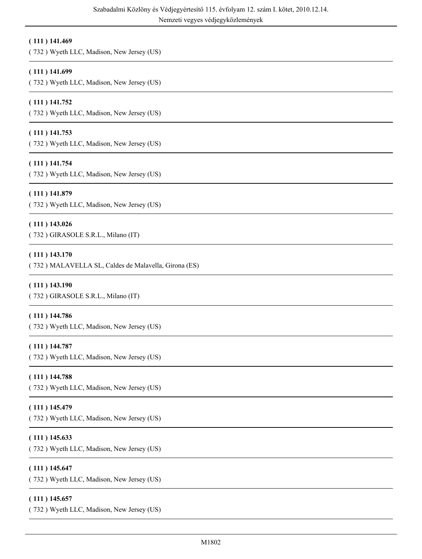# **( 111 ) 141.469**

( 732 ) Wyeth LLC, Madison, New Jersey (US)

# **( 111 ) 141.699**

( 732 ) Wyeth LLC, Madison, New Jersey (US)

# **( 111 ) 141.752**

( 732 ) Wyeth LLC, Madison, New Jersey (US)

# **( 111 ) 141.753**

( 732 ) Wyeth LLC, Madison, New Jersey (US)

# **( 111 ) 141.754**

( 732 ) Wyeth LLC, Madison, New Jersey (US)

# **( 111 ) 141.879**

( 732 ) Wyeth LLC, Madison, New Jersey (US)

# **( 111 ) 143.026**

( 732 ) GIRASOLE S.R.L., Milano (IT)

# **( 111 ) 143.170**

( 732 ) MALAVELLA SL, Caldes de Malavella, Girona (ES)

# **( 111 ) 143.190**

( 732 ) GIRASOLE S.R.L., Milano (IT)

#### **( 111 ) 144.786**

( 732 ) Wyeth LLC, Madison, New Jersey (US)

# **( 111 ) 144.787**

( 732 ) Wyeth LLC, Madison, New Jersey (US)

#### **( 111 ) 144.788**

( 732 ) Wyeth LLC, Madison, New Jersey (US)

# **( 111 ) 145.479**

( 732 ) Wyeth LLC, Madison, New Jersey (US)

# **( 111 ) 145.633**

( 732 ) Wyeth LLC, Madison, New Jersey (US)

# **( 111 ) 145.647**

( 732 ) Wyeth LLC, Madison, New Jersey (US)

#### **( 111 ) 145.657**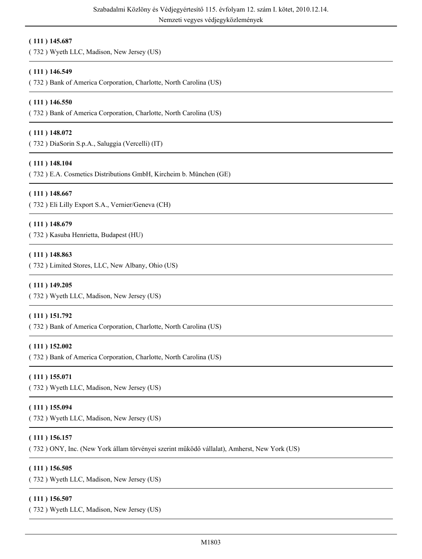#### **( 111 ) 145.687**

( 732 ) Wyeth LLC, Madison, New Jersey (US)

#### **( 111 ) 146.549**

( 732 ) Bank of America Corporation, Charlotte, North Carolina (US)

#### **( 111 ) 146.550**

( 732 ) Bank of America Corporation, Charlotte, North Carolina (US)

#### **( 111 ) 148.072**

( 732 ) DiaSorin S.p.A., Saluggia (Vercelli) (IT)

#### **( 111 ) 148.104**

( 732 ) E.A. Cosmetics Distributions GmbH, Kircheim b. München (GE)

#### **( 111 ) 148.667**

( 732 ) Eli Lilly Export S.A., Vernier/Geneva (CH)

#### **( 111 ) 148.679**

( 732 ) Kasuba Henrietta, Budapest (HU)

#### **( 111 ) 148.863**

( 732 ) Limited Stores, LLC, New Albany, Ohio (US)

#### **( 111 ) 149.205**

( 732 ) Wyeth LLC, Madison, New Jersey (US)

#### **( 111 ) 151.792**

( 732 ) Bank of America Corporation, Charlotte, North Carolina (US)

#### **( 111 ) 152.002**

( 732 ) Bank of America Corporation, Charlotte, North Carolina (US)

#### **( 111 ) 155.071**

( 732 ) Wyeth LLC, Madison, New Jersey (US)

# **( 111 ) 155.094**

( 732 ) Wyeth LLC, Madison, New Jersey (US)

# **( 111 ) 156.157**

( 732 ) ONY, Inc. (New York állam törvényei szerint működő vállalat), Amherst, New York (US)

#### **( 111 ) 156.505**

( 732 ) Wyeth LLC, Madison, New Jersey (US)

#### **( 111 ) 156.507**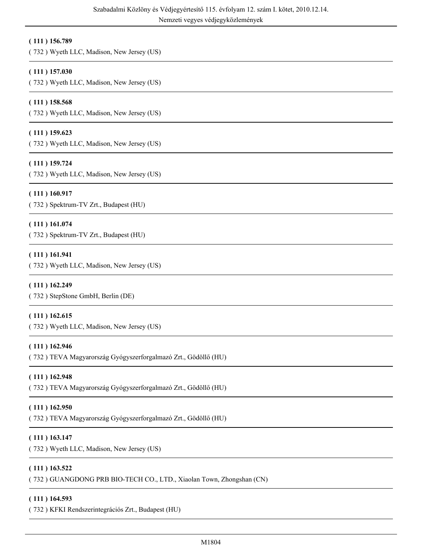# **( 111 ) 156.789**

( 732 ) Wyeth LLC, Madison, New Jersey (US)

# **( 111 ) 157.030**

( 732 ) Wyeth LLC, Madison, New Jersey (US)

### **( 111 ) 158.568**

( 732 ) Wyeth LLC, Madison, New Jersey (US)

#### **( 111 ) 159.623**

( 732 ) Wyeth LLC, Madison, New Jersey (US)

# **( 111 ) 159.724**

( 732 ) Wyeth LLC, Madison, New Jersey (US)

#### **( 111 ) 160.917**

( 732 ) Spektrum-TV Zrt., Budapest (HU)

#### **( 111 ) 161.074**

( 732 ) Spektrum-TV Zrt., Budapest (HU)

#### **( 111 ) 161.941**

( 732 ) Wyeth LLC, Madison, New Jersey (US)

#### **( 111 ) 162.249**

( 732 ) StepStone GmbH, Berlin (DE)

#### **( 111 ) 162.615**

( 732 ) Wyeth LLC, Madison, New Jersey (US)

# **( 111 ) 162.946**

( 732 ) TEVA Magyarország Gyógyszerforgalmazó Zrt., Gödöllő (HU)

#### **( 111 ) 162.948**

( 732 ) TEVA Magyarország Gyógyszerforgalmazó Zrt., Gödöllő (HU)

#### **( 111 ) 162.950**

( 732 ) TEVA Magyarország Gyógyszerforgalmazó Zrt., Gödöllő (HU)

# **( 111 ) 163.147**

( 732 ) Wyeth LLC, Madison, New Jersey (US)

#### **( 111 ) 163.522**

( 732 ) GUANGDONG PRB BIO-TECH CO., LTD., Xiaolan Town, Zhongshan (CN)

#### **( 111 ) 164.593**

( 732 ) KFKI Rendszerintegrációs Zrt., Budapest (HU)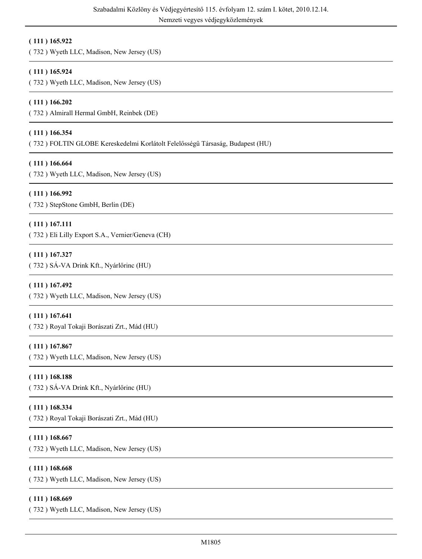# **( 111 ) 165.922**

( 732 ) Wyeth LLC, Madison, New Jersey (US)

# **( 111 ) 165.924**

( 732 ) Wyeth LLC, Madison, New Jersey (US)

# **( 111 ) 166.202**

( 732 ) Almirall Hermal GmbH, Reinbek (DE)

# **( 111 ) 166.354**

( 732 ) FOLTIN GLOBE Kereskedelmi Korlátolt Felelősségű Társaság, Budapest (HU)

# **( 111 ) 166.664**

( 732 ) Wyeth LLC, Madison, New Jersey (US)

# **( 111 ) 166.992**

( 732 ) StepStone GmbH, Berlin (DE)

# **( 111 ) 167.111**

( 732 ) Eli Lilly Export S.A., Vernier/Geneva (CH)

# **( 111 ) 167.327**

( 732 ) SÁ-VA Drink Kft., Nyárlőrinc (HU)

# **( 111 ) 167.492**

( 732 ) Wyeth LLC, Madison, New Jersey (US)

# **( 111 ) 167.641**

( 732 ) Royal Tokaji Borászati Zrt., Mád (HU)

# **( 111 ) 167.867**

( 732 ) Wyeth LLC, Madison, New Jersey (US)

# **( 111 ) 168.188**

( 732 ) SÁ-VA Drink Kft., Nyárlőrinc (HU)

# **( 111 ) 168.334**

( 732 ) Royal Tokaji Borászati Zrt., Mád (HU)

# **( 111 ) 168.667**

( 732 ) Wyeth LLC, Madison, New Jersey (US)

# **( 111 ) 168.668**

( 732 ) Wyeth LLC, Madison, New Jersey (US)

# **( 111 ) 168.669**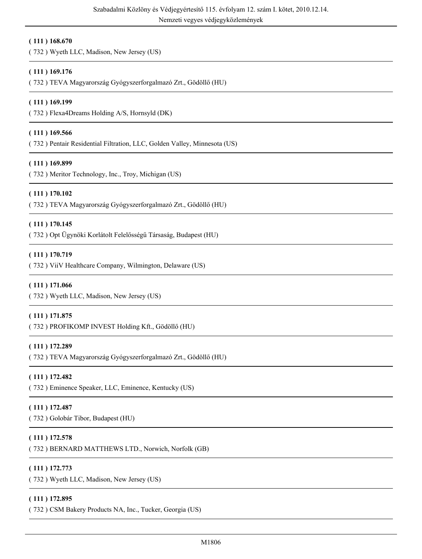**( 111 ) 168.670**

( 732 ) Wyeth LLC, Madison, New Jersey (US)

# **( 111 ) 169.176**

( 732 ) TEVA Magyarország Gyógyszerforgalmazó Zrt., Gödöllő (HU)

### **( 111 ) 169.199**

( 732 ) Flexa4Dreams Holding A/S, Hornsyld (DK)

#### **( 111 ) 169.566**

( 732 ) Pentair Residential Filtration, LLC, Golden Valley, Minnesota (US)

# **( 111 ) 169.899**

( 732 ) Meritor Technology, Inc., Troy, Michigan (US)

#### **( 111 ) 170.102**

( 732 ) TEVA Magyarország Gyógyszerforgalmazó Zrt., Gödöllő (HU)

#### **( 111 ) 170.145**

( 732 ) Opt Ügynöki Korlátolt Felelősségű Társaság, Budapest (HU)

#### **( 111 ) 170.719**

( 732 ) ViiV Healthcare Company, Wilmington, Delaware (US)

#### **( 111 ) 171.066**

( 732 ) Wyeth LLC, Madison, New Jersey (US)

#### **( 111 ) 171.875**

( 732 ) PROFIKOMP INVEST Holding Kft., Gödöllő (HU)

#### **( 111 ) 172.289**

( 732 ) TEVA Magyarország Gyógyszerforgalmazó Zrt., Gödöllő (HU)

#### **( 111 ) 172.482**

( 732 ) Eminence Speaker, LLC, Eminence, Kentucky (US)

#### **( 111 ) 172.487**

( 732 ) Golobár Tibor, Budapest (HU)

# **( 111 ) 172.578**

( 732 ) BERNARD MATTHEWS LTD., Norwich, Norfolk (GB)

#### **( 111 ) 172.773**

( 732 ) Wyeth LLC, Madison, New Jersey (US)

#### **( 111 ) 172.895**

( 732 ) CSM Bakery Products NA, Inc., Tucker, Georgia (US)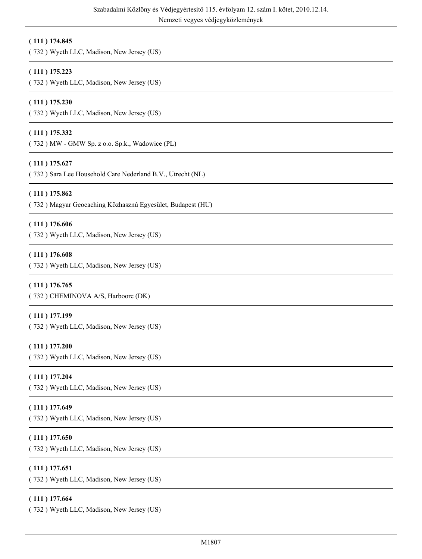# **( 111 ) 174.845**

( 732 ) Wyeth LLC, Madison, New Jersey (US)

# **( 111 ) 175.223**

( 732 ) Wyeth LLC, Madison, New Jersey (US)

# **( 111 ) 175.230**

( 732 ) Wyeth LLC, Madison, New Jersey (US)

# **( 111 ) 175.332**

( 732 ) MW - GMW Sp. z o.o. Sp.k., Wadowice (PL)

# **( 111 ) 175.627**

( 732 ) Sara Lee Household Care Nederland B.V., Utrecht (NL)

# **( 111 ) 175.862**

( 732 ) Magyar Geocaching Közhasznú Egyesület, Budapest (HU)

#### **( 111 ) 176.606**

( 732 ) Wyeth LLC, Madison, New Jersey (US)

#### **( 111 ) 176.608**

( 732 ) Wyeth LLC, Madison, New Jersey (US)

# **( 111 ) 176.765**

( 732 ) CHEMINOVA A/S, Harboore (DK)

# **( 111 ) 177.199**

( 732 ) Wyeth LLC, Madison, New Jersey (US)

# **( 111 ) 177.200**

( 732 ) Wyeth LLC, Madison, New Jersey (US)

#### **( 111 ) 177.204**

( 732 ) Wyeth LLC, Madison, New Jersey (US)

# **( 111 ) 177.649**

( 732 ) Wyeth LLC, Madison, New Jersey (US)

# **( 111 ) 177.650**

( 732 ) Wyeth LLC, Madison, New Jersey (US)

# **( 111 ) 177.651**

( 732 ) Wyeth LLC, Madison, New Jersey (US)

# **( 111 ) 177.664**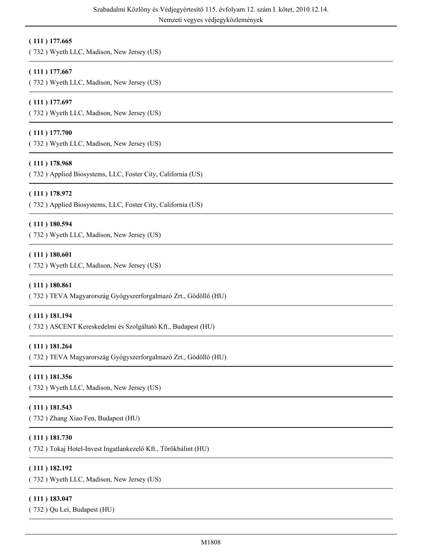# **( 111 ) 177.665**

( 732 ) Wyeth LLC, Madison, New Jersey (US)

# **( 111 ) 177.667**

( 732 ) Wyeth LLC, Madison, New Jersey (US)

# **( 111 ) 177.697**

( 732 ) Wyeth LLC, Madison, New Jersey (US)

# **( 111 ) 177.700**

( 732 ) Wyeth LLC, Madison, New Jersey (US)

# **( 111 ) 178.968**

( 732 ) Applied Biosystems, LLC, Foster City, California (US)

#### **( 111 ) 178.972**

( 732 ) Applied Biosystems, LLC, Foster City, California (US)

#### **( 111 ) 180.594**

( 732 ) Wyeth LLC, Madison, New Jersey (US)

#### **( 111 ) 180.601**

( 732 ) Wyeth LLC, Madison, New Jersey (US)

#### **( 111 ) 180.861**

( 732 ) TEVA Magyarország Gyógyszerforgalmazó Zrt., Gödöllő (HU)

#### **( 111 ) 181.194**

( 732 ) ASCENT Kereskedelmi és Szolgáltató Kft., Budapest (HU)

# **( 111 ) 181.264**

( 732 ) TEVA Magyarország Gyógyszerforgalmazó Zrt., Gödöllő (HU)

#### **( 111 ) 181.356**

( 732 ) Wyeth LLC, Madison, New Jersey (US)

# **( 111 ) 181.543**

( 732 ) Zhang Xiao Fen, Budapest (HU)

# **( 111 ) 181.730**

( 732 ) Tokaj Hotel-Invest Ingatlankezelő Kft., Törökbálint (HU)

# **( 111 ) 182.192**

( 732 ) Wyeth LLC, Madison, New Jersey (US)

#### **( 111 ) 183.047**

( 732 ) Qu Lei, Budapest (HU)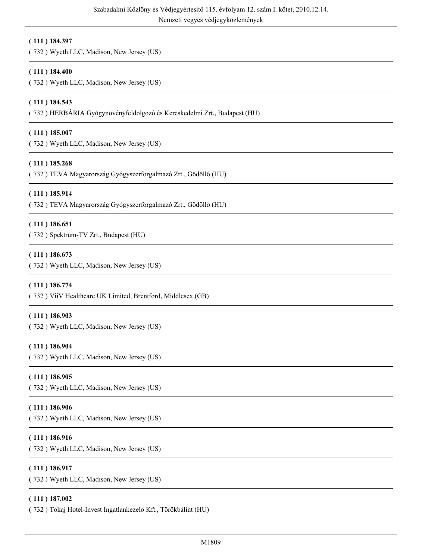# **( 111 ) 184.397**

( 732 ) Wyeth LLC, Madison, New Jersey (US)

# **( 111 ) 184.400**

( 732 ) Wyeth LLC, Madison, New Jersey (US)

# **( 111 ) 184.543**

( 732 ) HERBÁRIA Gyógynövényfeldolgozó és Kereskedelmi Zrt., Budapest (HU)

# **( 111 ) 185.007**

( 732 ) Wyeth LLC, Madison, New Jersey (US)

# **( 111 ) 185.268**

( 732 ) TEVA Magyarország Gyógyszerforgalmazó Zrt., Gödöllő (HU)

# **( 111 ) 185.914**

( 732 ) TEVA Magyarország Gyógyszerforgalmazó Zrt., Gödöllő (HU)

#### **( 111 ) 186.651**

( 732 ) Spektrum-TV Zrt., Budapest (HU)

#### **( 111 ) 186.673**

( 732 ) Wyeth LLC, Madison, New Jersey (US)

#### **( 111 ) 186.774**

( 732 ) ViiV Healthcare UK Limited, Brentford, Middlesex (GB)

#### **( 111 ) 186.903**

( 732 ) Wyeth LLC, Madison, New Jersey (US)

# **( 111 ) 186.904**

( 732 ) Wyeth LLC, Madison, New Jersey (US)

#### **( 111 ) 186.905**

( 732 ) Wyeth LLC, Madison, New Jersey (US)

# **( 111 ) 186.906**

( 732 ) Wyeth LLC, Madison, New Jersey (US)

# **( 111 ) 186.916**

( 732 ) Wyeth LLC, Madison, New Jersey (US)

#### **( 111 ) 186.917**

( 732 ) Wyeth LLC, Madison, New Jersey (US)

#### **( 111 ) 187.002**

( 732 ) Tokaj Hotel-Invest Ingatlankezelő Kft., Törökbálint (HU)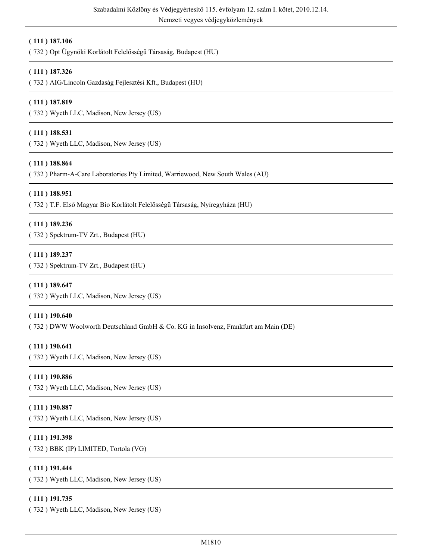Nemzeti vegyes védjegyközlemények

# **( 111 ) 187.106**

( 732 ) Opt Ügynöki Korlátolt Felelősségű Társaság, Budapest (HU)

# **( 111 ) 187.326**

( 732 ) AIG/Lincoln Gazdaság Fejlesztési Kft., Budapest (HU)

# **( 111 ) 187.819**

( 732 ) Wyeth LLC, Madison, New Jersey (US)

### **( 111 ) 188.531**

( 732 ) Wyeth LLC, Madison, New Jersey (US)

#### **( 111 ) 188.864**

( 732 ) Pharm-A-Care Laboratories Pty Limited, Warriewood, New South Wales (AU)

#### **( 111 ) 188.951**

( 732 ) T.F. Első Magyar Bio Korlátolt Felelősségű Társaság, Nyíregyháza (HU)

#### **( 111 ) 189.236**

( 732 ) Spektrum-TV Zrt., Budapest (HU)

#### **( 111 ) 189.237**

( 732 ) Spektrum-TV Zrt., Budapest (HU)

#### **( 111 ) 189.647**

( 732 ) Wyeth LLC, Madison, New Jersey (US)

#### **( 111 ) 190.640**

( 732 ) DWW Woolworth Deutschland GmbH & Co. KG in Insolvenz, Frankfurt am Main (DE)

# **( 111 ) 190.641**

( 732 ) Wyeth LLC, Madison, New Jersey (US)

#### **( 111 ) 190.886**

( 732 ) Wyeth LLC, Madison, New Jersey (US)

# **( 111 ) 190.887**

( 732 ) Wyeth LLC, Madison, New Jersey (US)

# **( 111 ) 191.398**

( 732 ) BBK (IP) LIMITED, Tortola (VG)

# **( 111 ) 191.444**

( 732 ) Wyeth LLC, Madison, New Jersey (US)

# **( 111 ) 191.735**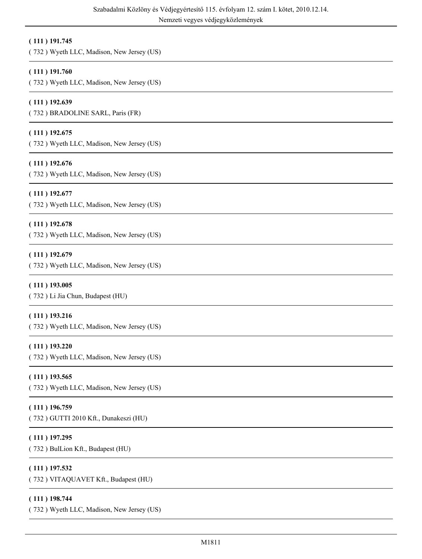# **( 111 ) 191.745**

( 732 ) Wyeth LLC, Madison, New Jersey (US)

# **( 111 ) 191.760**

( 732 ) Wyeth LLC, Madison, New Jersey (US)

# **( 111 ) 192.639**

( 732 ) BRADOLINE SARL, Paris (FR)

# **( 111 ) 192.675**

( 732 ) Wyeth LLC, Madison, New Jersey (US)

# **( 111 ) 192.676**

( 732 ) Wyeth LLC, Madison, New Jersey (US)

# **( 111 ) 192.677**

( 732 ) Wyeth LLC, Madison, New Jersey (US)

# **( 111 ) 192.678**

( 732 ) Wyeth LLC, Madison, New Jersey (US)

# **( 111 ) 192.679**

( 732 ) Wyeth LLC, Madison, New Jersey (US)

# **( 111 ) 193.005**

( 732 ) Li Jia Chun, Budapest (HU)

# **( 111 ) 193.216**

( 732 ) Wyeth LLC, Madison, New Jersey (US)

# **( 111 ) 193.220**

( 732 ) Wyeth LLC, Madison, New Jersey (US)

# **( 111 ) 193.565**

( 732 ) Wyeth LLC, Madison, New Jersey (US)

# **( 111 ) 196.759**

( 732 ) GUTTI 2010 Kft., Dunakeszi (HU)

# **( 111 ) 197.295**

( 732 ) BulLion Kft., Budapest (HU)

# **( 111 ) 197.532**

( 732 ) VITAQUAVET Kft., Budapest (HU)

# **( 111 ) 198.744**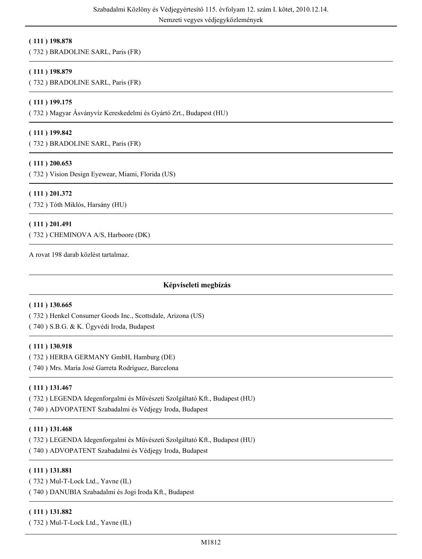# **( 111 ) 198.878**

( 732 ) BRADOLINE SARL, Paris (FR)

### **( 111 ) 198.879**

( 732 ) BRADOLINE SARL, Paris (FR)

### **( 111 ) 199.175**

( 732 ) Magyar Ásványvíz Kereskedelmi és Gyártó Zrt., Budapest (HU)

#### **( 111 ) 199.842**

( 732 ) BRADOLINE SARL, Paris (FR)

#### **( 111 ) 200.653**

( 732 ) Vision Design Eyewear, Miami, Florida (US)

#### **( 111 ) 201.372**

( 732 ) Tóth Miklós, Harsány (HU)

#### **( 111 ) 201.491**

( 732 ) CHEMINOVA A/S, Harboore (DK)

A rovat 198 darab közlést tartalmaz.

# **Képviseleti megbízás**

#### **( 111 ) 130.665**

( 732 ) Henkel Consumer Goods Inc., Scottsdale, Arizona (US)

( 740 ) S.B.G. & K. Ügyvédi Iroda, Budapest

#### **( 111 ) 130.918**

( 732 ) HERBA GERMANY GmbH, Hamburg (DE)

( 740 ) Mrs. María José Garreta Rodríguez, Barcelona

# **( 111 ) 131.467**

( 732 ) LEGENDA Idegenforgalmi és Művészeti Szolgáltató Kft., Budapest (HU)

( 740 ) ADVOPATENT Szabadalmi és Védjegy Iroda, Budapest

# **( 111 ) 131.468**

( 732 ) LEGENDA Idegenforgalmi és Művészeti Szolgáltató Kft., Budapest (HU)

( 740 ) ADVOPATENT Szabadalmi és Védjegy Iroda, Budapest

# **( 111 ) 131.881**

( 732 ) Mul-T-Lock Ltd., Yavne (IL)

( 740 ) DANUBIA Szabadalmi és Jogi Iroda Kft., Budapest

#### **( 111 ) 131.882**

( 732 ) Mul-T-Lock Ltd., Yavne (IL)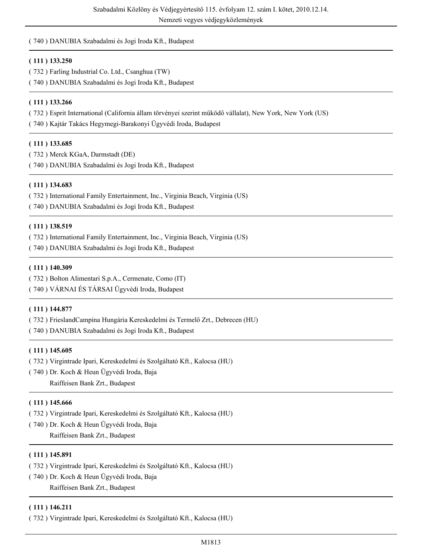# ( 740 ) DANUBIA Szabadalmi és Jogi Iroda Kft., Budapest

# **( 111 ) 133.250**

- ( 732 ) Farling Industrial Co. Ltd., Csanghua (TW)
- ( 740 ) DANUBIA Szabadalmi és Jogi Iroda Kft., Budapest

# **( 111 ) 133.266**

( 732 ) Esprit International (California állam törvényei szerint működő vállalat), New York, New York (US)

( 740 ) Kajtár Takács Hegymegi-Barakonyi Ügyvédi Iroda, Budapest

# **( 111 ) 133.685**

( 732 ) Merck KGaA, Darmstadt (DE) ( 740 ) DANUBIA Szabadalmi és Jogi Iroda Kft., Budapest

# **( 111 ) 134.683**

( 732 ) International Family Entertainment, Inc., Virginia Beach, Virginia (US) ( 740 ) DANUBIA Szabadalmi és Jogi Iroda Kft., Budapest

# **( 111 ) 138.519**

( 732 ) International Family Entertainment, Inc., Virginia Beach, Virginia (US)

( 740 ) DANUBIA Szabadalmi és Jogi Iroda Kft., Budapest

# **( 111 ) 140.309**

( 732 ) Bolton Alimentari S.p.A., Cermenate, Como (IT)

( 740 ) VÁRNAI ÉS TÁRSAI Ügyvédi Iroda, Budapest

# **( 111 ) 144.877**

( 732 ) FrieslandCampina Hungária Kereskedelmi és Termelő Zrt., Debrecen (HU)

( 740 ) DANUBIA Szabadalmi és Jogi Iroda Kft., Budapest

# **( 111 ) 145.605**

- ( 732 ) Virgintrade Ipari, Kereskedelmi és Szolgáltató Kft., Kalocsa (HU)
- ( 740 ) Dr. Koch & Heun Ügyvédi Iroda, Baja Raiffeisen Bank Zrt., Budapest

# **( 111 ) 145.666**

- ( 732 ) Virgintrade Ipari, Kereskedelmi és Szolgáltató Kft., Kalocsa (HU)
- ( 740 ) Dr. Koch & Heun Ügyvédi Iroda, Baja Raiffeisen Bank Zrt., Budapest

# **( 111 ) 145.891**

- ( 732 ) Virgintrade Ipari, Kereskedelmi és Szolgáltató Kft., Kalocsa (HU)
- ( 740 ) Dr. Koch & Heun Ügyvédi Iroda, Baja Raiffeisen Bank Zrt., Budapest

# **( 111 ) 146.211**

( 732 ) Virgintrade Ipari, Kereskedelmi és Szolgáltató Kft., Kalocsa (HU)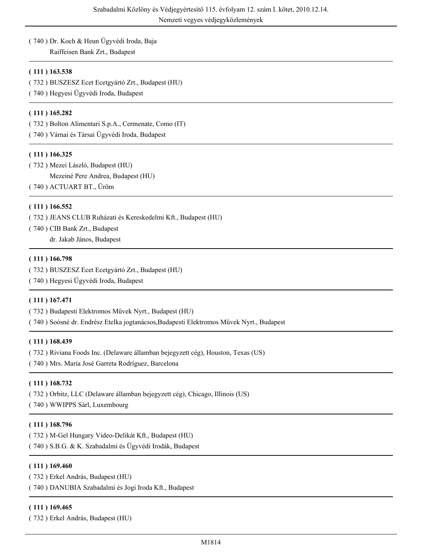# ( 740 ) Dr. Koch & Heun Ügyvédi Iroda, Baja

Raiffeisen Bank Zrt., Budapest

# **( 111 ) 163.538**

- ( 732 ) BUSZESZ Ecet Ecetgyártó Zrt., Budapest (HU)
- ( 740 ) Hegyesi Ügyvédi Iroda, Budapest

# **( 111 ) 165.282**

( 732 ) Bolton Alimentari S.p.A., Cermenate, Como (IT)

( 740 ) Várnai és Társai Ügyvédi Iroda, Budapest

# **( 111 ) 166.325**

( 732 ) Mezei László, Budapest (HU) Mezeiné Pere Andrea, Budapest (HU) ( 740 ) ACTUART BT., Üröm

# **( 111 ) 166.552**

( 732 ) JEANS CLUB Ruházati és Kereskedelmi Kft., Budapest (HU)

( 740 ) CIB Bank Zrt., Budapest

dr. Jakab János, Budapest

# **( 111 ) 166.798**

( 732 ) BUSZESZ Ecet Ecetgyártó Zrt., Budapest (HU)

( 740 ) Hegyesi Ügyvédi Iroda, Budapest

# **( 111 ) 167.471**

( 732 ) Budapesti Elektromos Művek Nyrt., Budapest (HU)

( 740 ) Soósné dr. Endrész Etelka jogtanácsos,Budapesti Elektromos Művek Nyrt., Budapest

# **( 111 ) 168.439**

( 732 ) Riviana Foods Inc. (Delaware államban bejegyzett cég), Houston, Texas (US)

( 740 ) Mrs. María José Garreta Rodríguez, Barcelona

# **( 111 ) 168.732**

( 732 ) Orbitz, LLC (Delaware államban bejegyzett cég), Chicago, Illinois (US)

( 740 ) WWIPPS Sárl, Luxembourg

# **( 111 ) 168.796**

( 732 ) M-Gel Hungary Video-Delikát Kft., Budapest (HU) ( 740 ) S.B.G. & K. Szabadalmi és Ügyvédi Irodák, Budapest

# **( 111 ) 169.460**

( 732 ) Erkel András, Budapest (HU) ( 740 ) DANUBIA Szabadalmi és Jogi Iroda Kft., Budapest

# **( 111 ) 169.465**

( 732 ) Erkel András, Budapest (HU)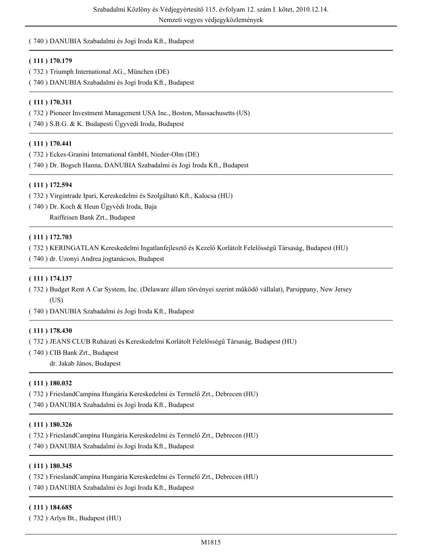# ( 740 ) DANUBIA Szabadalmi és Jogi Iroda Kft., Budapest

### **( 111 ) 170.179**

- ( 732 ) Triumph International AG., München (DE)
- ( 740 ) DANUBIA Szabadalmi és Jogi Iroda Kft., Budapest

### **( 111 ) 170.311**

- ( 732 ) Pioneer Investment Management USA Inc., Boston, Massachusetts (US)
- ( 740 ) S.B.G. & K. Budapesti Ügyvédi Iroda, Budapest

### **( 111 ) 170.441**

- ( 732 ) Eckes-Granini International GmbH, Nieder-Olm (DE)
- ( 740 ) Dr. Bogsch Hanna, DANUBIA Szabadalmi és Jogi Iroda Kft., Budapest

#### **( 111 ) 172.594**

- ( 732 ) Virgintrade Ipari, Kereskedelmi és Szolgáltató Kft., Kalocsa (HU)
- ( 740 ) Dr. Koch & Heun Ügyvédi Iroda, Baja
	- Raiffeisen Bank Zrt., Budapest

#### **( 111 ) 172.703**

- ( 732 ) KERINGATLAN Kereskedelmi Ingatlanfejlesztő és Kezelő Korlátolt Felelősségű Társaság, Budapest (HU)
- ( 740 ) dr. Uzonyi Andrea jogtanácsos, Budapest

### **( 111 ) 174.137**

- ( 732 ) Budget Rent A Car System, Inc. (Delaware állam törvényei szerint működő vállalat), Parsippany, New Jersey (US)
- ( 740 ) DANUBIA Szabadalmi és Jogi Iroda Kft., Budapest

#### **( 111 ) 178.430**

- ( 732 ) JEANS CLUB Ruházati és Kereskedelmi Korlátolt Felelősségű Társaság, Budapest (HU)
- ( 740 ) CIB Bank Zrt., Budapest
	- dr. Jakab János, Budapest

# **( 111 ) 180.032**

- ( 732 ) FrieslandCampina Hungária Kereskedelmi és Termelő Zrt., Debrecen (HU)
- ( 740 ) DANUBIA Szabadalmi és Jogi Iroda Kft., Budapest

#### **( 111 ) 180.326**

- ( 732 ) FrieslandCampina Hungária Kereskedelmi és Termelő Zrt., Debrecen (HU)
- ( 740 ) DANUBIA Szabadalmi és Jogi Iroda Kft., Budapest

#### **( 111 ) 180.345**

- ( 732 ) FrieslandCampina Hungária Kereskedelmi és Termelő Zrt., Debrecen (HU)
- ( 740 ) DANUBIA Szabadalmi és Jogi Iroda Kft., Budapest

#### **( 111 ) 184.685**

( 732 ) Arlyn Bt., Budapest (HU)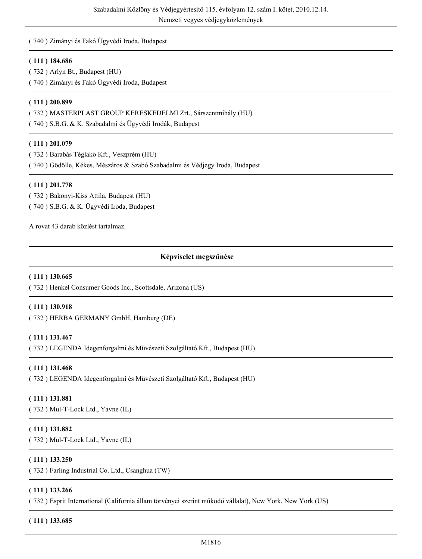# ( 740 ) Zimányi és Fakó Ügyvédi Iroda, Budapest

# **( 111 ) 184.686**

( 732 ) Arlyn Bt., Budapest (HU)

( 740 ) Zimányi és Fakó Ügyvédi Iroda, Budapest

# **( 111 ) 200.899**

( 732 ) MASTERPLAST GROUP KERESKEDELMI Zrt., Sárszentmihály (HU)

( 740 ) S.B.G. & K. Szabadalmi és Ügyvédi Irodák, Budapest

# **( 111 ) 201.079**

( 732 ) Barabás Téglakő Kft., Veszprém (HU)

( 740 ) Gödölle, Kékes, Mészáros & Szabó Szabadalmi és Védjegy Iroda, Budapest

# **( 111 ) 201.778**

( 732 ) Bakonyi-Kiss Attila, Budapest (HU) ( 740 ) S.B.G. & K. Ügyvédi Iroda, Budapest

A rovat 43 darab közlést tartalmaz.

# **Képviselet megszűnése**

# **( 111 ) 130.665**

( 732 ) Henkel Consumer Goods Inc., Scottsdale, Arizona (US)

# **( 111 ) 130.918**

( 732 ) HERBA GERMANY GmbH, Hamburg (DE)

# **( 111 ) 131.467**

( 732 ) LEGENDA Idegenforgalmi és Művészeti Szolgáltató Kft., Budapest (HU)

# **( 111 ) 131.468**

( 732 ) LEGENDA Idegenforgalmi és Művészeti Szolgáltató Kft., Budapest (HU)

# **( 111 ) 131.881**

( 732 ) Mul-T-Lock Ltd., Yavne (IL)

# **( 111 ) 131.882**

( 732 ) Mul-T-Lock Ltd., Yavne (IL)

# **( 111 ) 133.250**

( 732 ) Farling Industrial Co. Ltd., Csanghua (TW)

# **( 111 ) 133.266**

( 732 ) Esprit International (California állam törvényei szerint működő vállalat), New York, New York (US)

# **( 111 ) 133.685**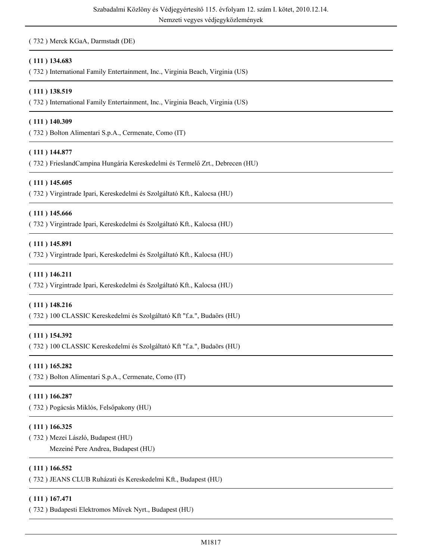( 732 ) Merck KGaA, Darmstadt (DE)

# **( 111 ) 134.683**

( 732 ) International Family Entertainment, Inc., Virginia Beach, Virginia (US)

#### **( 111 ) 138.519**

( 732 ) International Family Entertainment, Inc., Virginia Beach, Virginia (US)

#### **( 111 ) 140.309**

( 732 ) Bolton Alimentari S.p.A., Cermenate, Como (IT)

#### **( 111 ) 144.877**

( 732 ) FrieslandCampina Hungária Kereskedelmi és Termelő Zrt., Debrecen (HU)

#### **( 111 ) 145.605**

( 732 ) Virgintrade Ipari, Kereskedelmi és Szolgáltató Kft., Kalocsa (HU)

#### **( 111 ) 145.666**

( 732 ) Virgintrade Ipari, Kereskedelmi és Szolgáltató Kft., Kalocsa (HU)

#### **( 111 ) 145.891**

( 732 ) Virgintrade Ipari, Kereskedelmi és Szolgáltató Kft., Kalocsa (HU)

#### **( 111 ) 146.211**

( 732 ) Virgintrade Ipari, Kereskedelmi és Szolgáltató Kft., Kalocsa (HU)

#### **( 111 ) 148.216**

( 732 ) 100 CLASSIC Kereskedelmi és Szolgáltató Kft "f.a.", Budaörs (HU)

# **( 111 ) 154.392**

( 732 ) 100 CLASSIC Kereskedelmi és Szolgáltató Kft "f.a.", Budaörs (HU)

#### **( 111 ) 165.282**

( 732 ) Bolton Alimentari S.p.A., Cermenate, Como (IT)

#### **( 111 ) 166.287**

( 732 ) Pogácsás Miklós, Felsőpakony (HU)

#### **( 111 ) 166.325**

( 732 ) Mezei László, Budapest (HU)

Mezeiné Pere Andrea, Budapest (HU)

#### **( 111 ) 166.552**

( 732 ) JEANS CLUB Ruházati és Kereskedelmi Kft., Budapest (HU)

#### **( 111 ) 167.471**

( 732 ) Budapesti Elektromos Művek Nyrt., Budapest (HU)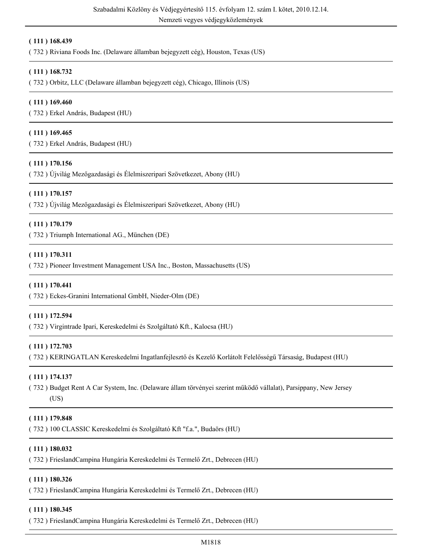Nemzeti vegyes védjegyközlemények

#### **( 111 ) 168.439**

( 732 ) Riviana Foods Inc. (Delaware államban bejegyzett cég), Houston, Texas (US)

### **( 111 ) 168.732**

( 732 ) Orbitz, LLC (Delaware államban bejegyzett cég), Chicago, Illinois (US)

#### **( 111 ) 169.460**

( 732 ) Erkel András, Budapest (HU)

#### **( 111 ) 169.465**

( 732 ) Erkel András, Budapest (HU)

# **( 111 ) 170.156**

( 732 ) Újvilág Mezőgazdasági és Élelmiszeripari Szövetkezet, Abony (HU)

#### **( 111 ) 170.157**

( 732 ) Újvilág Mezőgazdasági és Élelmiszeripari Szövetkezet, Abony (HU)

#### **( 111 ) 170.179**

( 732 ) Triumph International AG., München (DE)

#### **( 111 ) 170.311**

( 732 ) Pioneer Investment Management USA Inc., Boston, Massachusetts (US)

#### **( 111 ) 170.441**

( 732 ) Eckes-Granini International GmbH, Nieder-Olm (DE)

#### **( 111 ) 172.594**

( 732 ) Virgintrade Ipari, Kereskedelmi és Szolgáltató Kft., Kalocsa (HU)

# **( 111 ) 172.703**

( 732 ) KERINGATLAN Kereskedelmi Ingatlanfejlesztő és Kezelő Korlátolt Felelősségű Társaság, Budapest (HU)

#### **( 111 ) 174.137**

( 732 ) Budget Rent A Car System, Inc. (Delaware állam törvényei szerint működő vállalat), Parsippany, New Jersey (US)

# **( 111 ) 179.848**

( 732 ) 100 CLASSIC Kereskedelmi és Szolgáltató Kft "f.a.", Budaörs (HU)

#### **( 111 ) 180.032**

( 732 ) FrieslandCampina Hungária Kereskedelmi és Termelő Zrt., Debrecen (HU)

### **( 111 ) 180.326**

( 732 ) FrieslandCampina Hungária Kereskedelmi és Termelő Zrt., Debrecen (HU)

#### **( 111 ) 180.345**

( 732 ) FrieslandCampina Hungária Kereskedelmi és Termelő Zrt., Debrecen (HU)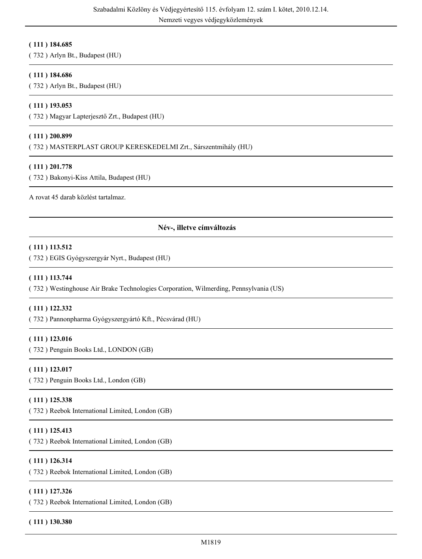# **( 111 ) 184.685**

( 732 ) Arlyn Bt., Budapest (HU)

### **( 111 ) 184.686**

( 732 ) Arlyn Bt., Budapest (HU)

#### **( 111 ) 193.053**

( 732 ) Magyar Lapterjesztő Zrt., Budapest (HU)

#### **( 111 ) 200.899**

( 732 ) MASTERPLAST GROUP KERESKEDELMI Zrt., Sárszentmihály (HU)

# **( 111 ) 201.778**

( 732 ) Bakonyi-Kiss Attila, Budapest (HU)

A rovat 45 darab közlést tartalmaz.

# **Név-, illetve címváltozás**

#### **( 111 ) 113.512**

( 732 ) EGIS Gyógyszergyár Nyrt., Budapest (HU)

#### **( 111 ) 113.744**

( 732 ) Westinghouse Air Brake Technologies Corporation, Wilmerding, Pennsylvania (US)

#### **( 111 ) 122.332**

( 732 ) Pannonpharma Gyógyszergyártó Kft., Pécsvárad (HU)

#### **( 111 ) 123.016**

( 732 ) Penguin Books Ltd., LONDON (GB)

# **( 111 ) 123.017**

( 732 ) Penguin Books Ltd., London (GB)

#### **( 111 ) 125.338**

( 732 ) Reebok International Limited, London (GB)

#### **( 111 ) 125.413**

( 732 ) Reebok International Limited, London (GB)

#### **( 111 ) 126.314**

( 732 ) Reebok International Limited, London (GB)

#### **( 111 ) 127.326**

( 732 ) Reebok International Limited, London (GB)

#### **( 111 ) 130.380**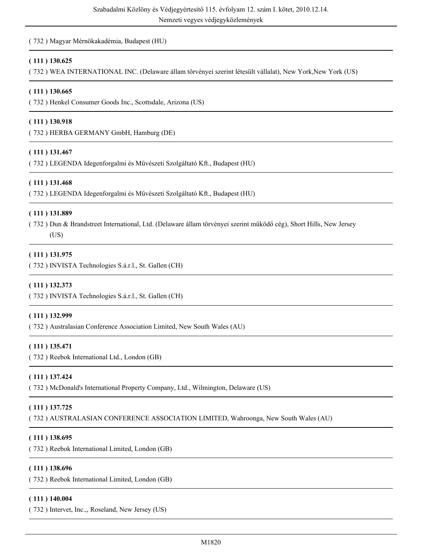# ( 732 ) Magyar Mérnökakadémia, Budapest (HU)

### **( 111 ) 130.625**

( 732 ) WEA INTERNATIONAL INC. (Delaware állam törvényei szerint létesült vállalat), New York,New York (US)

#### **( 111 ) 130.665**

( 732 ) Henkel Consumer Goods Inc., Scottsdale, Arizona (US)

#### **( 111 ) 130.918**

( 732 ) HERBA GERMANY GmbH, Hamburg (DE)

#### **( 111 ) 131.467**

( 732 ) LEGENDA Idegenforgalmi és Művészeti Szolgáltató Kft., Budapest (HU)

#### **( 111 ) 131.468**

( 732 ) LEGENDA Idegenforgalmi és Művészeti Szolgáltató Kft., Budapest (HU)

#### **( 111 ) 131.889**

( 732 ) Dun & Brandstreet International, Ltd. (Delaware állam törvényei szerint működő cég), Short Hills, New Jersey

# (US)

### **( 111 ) 131.975**

( 732 ) INVISTA Technologies S.á.r.l., St. Gallen (CH)

#### **( 111 ) 132.373**

( 732 ) INVISTA Technologies S.á.r.l., St. Gallen (CH)

#### **( 111 ) 132.999**

( 732 ) Australasian Conference Association Limited, New South Wales (AU)

# **( 111 ) 135.471**

( 732 ) Reebok International Ltd., London (GB)

#### **( 111 ) 137.424**

( 732 ) McDonald's International Property Company, Ltd., Wilmington, Delaware (US)

# **( 111 ) 137.725**

( 732 ) AUSTRALASIAN CONFERENCE ASSOCIATION LIMITED, Wahroonga, New South Wales (AU)

#### **( 111 ) 138.695**

( 732 ) Reebok International Limited, London (GB)

#### **( 111 ) 138.696**

( 732 ) Reebok International Limited, London (GB)

#### **( 111 ) 140.004**

( 732 ) Intervet, Inc.,, Roseland, New Jersey (US)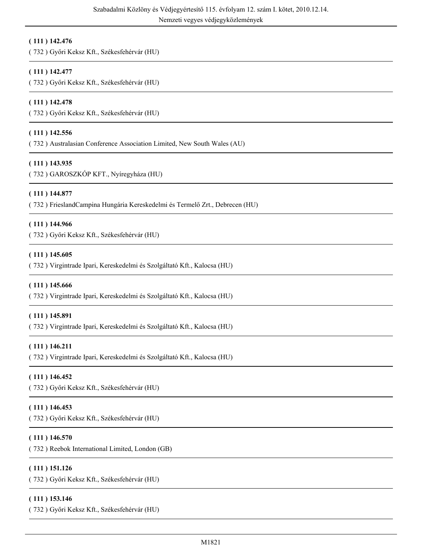# **( 111 ) 142.476**

( 732 ) Győri Keksz Kft., Székesfehérvár (HU)

# **( 111 ) 142.477**

( 732 ) Győri Keksz Kft., Székesfehérvár (HU)

# **( 111 ) 142.478**

( 732 ) Győri Keksz Kft., Székesfehérvár (HU)

# **( 111 ) 142.556**

( 732 ) Australasian Conference Association Limited, New South Wales (AU)

# **( 111 ) 143.935**

( 732 ) GAROSZKÓP KFT., Nyíregyháza (HU)

#### **( 111 ) 144.877**

( 732 ) FrieslandCampina Hungária Kereskedelmi és Termelő Zrt., Debrecen (HU)

#### **( 111 ) 144.966**

( 732 ) Győri Keksz Kft., Székesfehérvár (HU)

#### **( 111 ) 145.605**

( 732 ) Virgintrade Ipari, Kereskedelmi és Szolgáltató Kft., Kalocsa (HU)

# **( 111 ) 145.666**

( 732 ) Virgintrade Ipari, Kereskedelmi és Szolgáltató Kft., Kalocsa (HU)

#### **( 111 ) 145.891**

( 732 ) Virgintrade Ipari, Kereskedelmi és Szolgáltató Kft., Kalocsa (HU)

# **( 111 ) 146.211**

( 732 ) Virgintrade Ipari, Kereskedelmi és Szolgáltató Kft., Kalocsa (HU)

# **( 111 ) 146.452**

( 732 ) Győri Keksz Kft., Székesfehérvár (HU)

# **( 111 ) 146.453**

( 732 ) Győri Keksz Kft., Székesfehérvár (HU)

# **( 111 ) 146.570**

( 732 ) Reebok International Limited, London (GB)

# **( 111 ) 151.126**

( 732 ) Győri Keksz Kft., Székesfehérvár (HU)

#### **( 111 ) 153.146**

( 732 ) Győri Keksz Kft., Székesfehérvár (HU)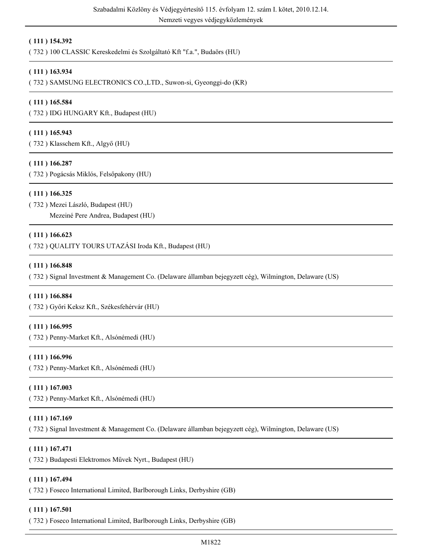Nemzeti vegyes védjegyközlemények

### **( 111 ) 154.392**

( 732 ) 100 CLASSIC Kereskedelmi és Szolgáltató Kft "f.a.", Budaörs (HU)

#### **( 111 ) 163.934**

( 732 ) SAMSUNG ELECTRONICS CO.,LTD., Suwon-si, Gyeonggi-do (KR)

#### **( 111 ) 165.584**

( 732 ) IDG HUNGARY Kft., Budapest (HU)

#### **( 111 ) 165.943**

( 732 ) Klasschem Kft., Algyő (HU)

#### **( 111 ) 166.287**

( 732 ) Pogácsás Miklós, Felsőpakony (HU)

#### **( 111 ) 166.325**

( 732 ) Mezei László, Budapest (HU)

Mezeiné Pere Andrea, Budapest (HU)

#### **( 111 ) 166.623**

( 732 ) QUALITY TOURS UTAZÁSI Iroda Kft., Budapest (HU)

#### **( 111 ) 166.848**

( 732 ) Signal Investment & Management Co. (Delaware államban bejegyzett cég), Wilmington, Delaware (US)

#### **( 111 ) 166.884**

( 732 ) Győri Keksz Kft., Székesfehérvár (HU)

#### **( 111 ) 166.995**

( 732 ) Penny-Market Kft., Alsónémedi (HU)

#### **( 111 ) 166.996**

( 732 ) Penny-Market Kft., Alsónémedi (HU)

#### **( 111 ) 167.003**

( 732 ) Penny-Market Kft., Alsónémedi (HU)

#### **( 111 ) 167.169**

( 732 ) Signal Investment & Management Co. (Delaware államban bejegyzett cég), Wilmington, Delaware (US)

#### **( 111 ) 167.471**

( 732 ) Budapesti Elektromos Művek Nyrt., Budapest (HU)

### **( 111 ) 167.494**

( 732 ) Foseco International Limited, Barlborough Links, Derbyshire (GB)

#### **( 111 ) 167.501**

( 732 ) Foseco International Limited, Barlborough Links, Derbyshire (GB)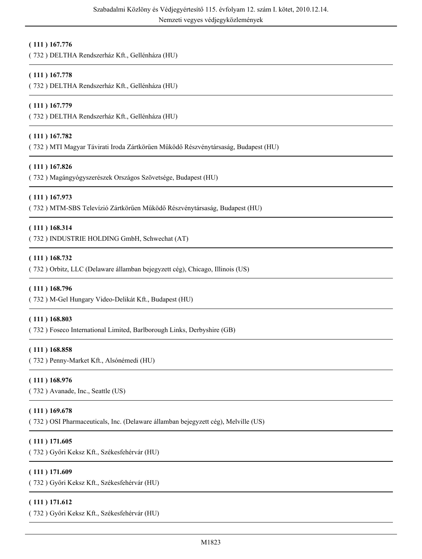# **( 111 ) 167.776**

( 732 ) DELTHA Rendszerház Kft., Gellénháza (HU)

# **( 111 ) 167.778**

( 732 ) DELTHA Rendszerház Kft., Gellénháza (HU)

### **( 111 ) 167.779**

( 732 ) DELTHA Rendszerház Kft., Gellénháza (HU)

# **( 111 ) 167.782**

( 732 ) MTI Magyar Távirati Iroda Zártkörűen Működő Részvénytársaság, Budapest (HU)

#### **( 111 ) 167.826**

( 732 ) Magángyógyszerészek Országos Szövetsége, Budapest (HU)

# **( 111 ) 167.973**

( 732 ) MTM-SBS Televízió Zártkörűen Működő Részvénytársaság, Budapest (HU)

#### **( 111 ) 168.314**

( 732 ) INDUSTRIE HOLDING GmbH, Schwechat (AT)

#### **( 111 ) 168.732**

( 732 ) Orbitz, LLC (Delaware államban bejegyzett cég), Chicago, Illinois (US)

#### **( 111 ) 168.796**

( 732 ) M-Gel Hungary Video-Delikát Kft., Budapest (HU)

#### **( 111 ) 168.803**

( 732 ) Foseco International Limited, Barlborough Links, Derbyshire (GB)

#### **( 111 ) 168.858**

( 732 ) Penny-Market Kft., Alsónémedi (HU)

#### **( 111 ) 168.976**

( 732 ) Avanade, Inc., Seattle (US)

#### **( 111 ) 169.678**

( 732 ) OSI Pharmaceuticals, Inc. (Delaware államban bejegyzett cég), Melville (US)

#### **( 111 ) 171.605**

( 732 ) Győri Keksz Kft., Székesfehérvár (HU)

# **( 111 ) 171.609**

( 732 ) Győri Keksz Kft., Székesfehérvár (HU)

#### **( 111 ) 171.612**

( 732 ) Győri Keksz Kft., Székesfehérvár (HU)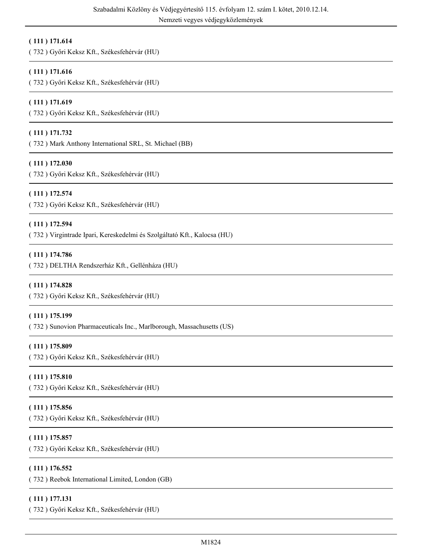# **( 111 ) 171.614**

( 732 ) Győri Keksz Kft., Székesfehérvár (HU)

# **( 111 ) 171.616**

( 732 ) Győri Keksz Kft., Székesfehérvár (HU)

# **( 111 ) 171.619**

( 732 ) Győri Keksz Kft., Székesfehérvár (HU)

# **( 111 ) 171.732**

( 732 ) Mark Anthony International SRL, St. Michael (BB)

# **( 111 ) 172.030**

( 732 ) Győri Keksz Kft., Székesfehérvár (HU)

# **( 111 ) 172.574**

( 732 ) Győri Keksz Kft., Székesfehérvár (HU)

# **( 111 ) 172.594**

( 732 ) Virgintrade Ipari, Kereskedelmi és Szolgáltató Kft., Kalocsa (HU)

# **( 111 ) 174.786**

( 732 ) DELTHA Rendszerház Kft., Gellénháza (HU)

# **( 111 ) 174.828**

( 732 ) Győri Keksz Kft., Székesfehérvár (HU)

# **( 111 ) 175.199**

( 732 ) Sunovion Pharmaceuticals Inc., Marlborough, Massachusetts (US)

# **( 111 ) 175.809**

( 732 ) Győri Keksz Kft., Székesfehérvár (HU)

# **( 111 ) 175.810**

( 732 ) Győri Keksz Kft., Székesfehérvár (HU)

# **( 111 ) 175.856**

( 732 ) Győri Keksz Kft., Székesfehérvár (HU)

# **( 111 ) 175.857**

( 732 ) Győri Keksz Kft., Székesfehérvár (HU)

# **( 111 ) 176.552**

( 732 ) Reebok International Limited, London (GB)

# **( 111 ) 177.131**

( 732 ) Győri Keksz Kft., Székesfehérvár (HU)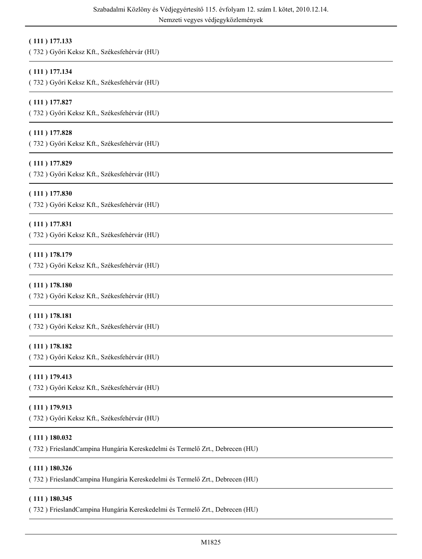# **( 111 ) 177.133**

( 732 ) Győri Keksz Kft., Székesfehérvár (HU)

# **( 111 ) 177.134**

( 732 ) Győri Keksz Kft., Székesfehérvár (HU)

# **( 111 ) 177.827**

( 732 ) Győri Keksz Kft., Székesfehérvár (HU)

# **( 111 ) 177.828**

( 732 ) Győri Keksz Kft., Székesfehérvár (HU)

# **( 111 ) 177.829**

( 732 ) Győri Keksz Kft., Székesfehérvár (HU)

# **( 111 ) 177.830**

( 732 ) Győri Keksz Kft., Székesfehérvár (HU)

# **( 111 ) 177.831**

( 732 ) Győri Keksz Kft., Székesfehérvár (HU)

# **( 111 ) 178.179**

( 732 ) Győri Keksz Kft., Székesfehérvár (HU)

#### **( 111 ) 178.180**

( 732 ) Győri Keksz Kft., Székesfehérvár (HU)

#### **( 111 ) 178.181**

( 732 ) Győri Keksz Kft., Székesfehérvár (HU)

# **( 111 ) 178.182**

( 732 ) Győri Keksz Kft., Székesfehérvár (HU)

# **( 111 ) 179.413**

( 732 ) Győri Keksz Kft., Székesfehérvár (HU)

# **( 111 ) 179.913**

( 732 ) Győri Keksz Kft., Székesfehérvár (HU)

# **( 111 ) 180.032**

( 732 ) FrieslandCampina Hungária Kereskedelmi és Termelő Zrt., Debrecen (HU)

#### **( 111 ) 180.326**

( 732 ) FrieslandCampina Hungária Kereskedelmi és Termelő Zrt., Debrecen (HU)

#### **( 111 ) 180.345**

( 732 ) FrieslandCampina Hungária Kereskedelmi és Termelő Zrt., Debrecen (HU)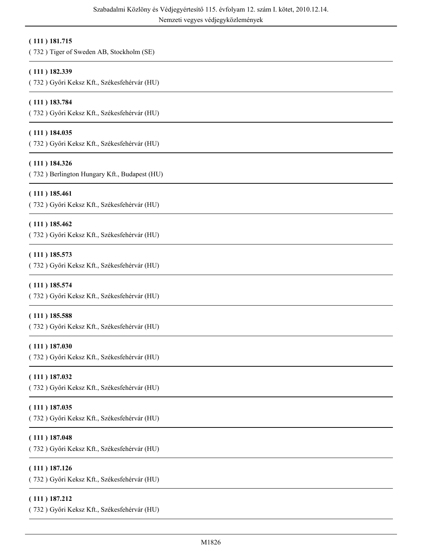# **( 111 ) 181.715**

( 732 ) Tiger of Sweden AB, Stockholm (SE)

# **( 111 ) 182.339**

( 732 ) Győri Keksz Kft., Székesfehérvár (HU)

# **( 111 ) 183.784**

( 732 ) Győri Keksz Kft., Székesfehérvár (HU)

# **( 111 ) 184.035**

( 732 ) Győri Keksz Kft., Székesfehérvár (HU)

# **( 111 ) 184.326**

( 732 ) Berlington Hungary Kft., Budapest (HU)

# **( 111 ) 185.461**

( 732 ) Győri Keksz Kft., Székesfehérvár (HU)

# **( 111 ) 185.462**

( 732 ) Győri Keksz Kft., Székesfehérvár (HU)

# **( 111 ) 185.573**

( 732 ) Győri Keksz Kft., Székesfehérvár (HU)

# **( 111 ) 185.574**

( 732 ) Győri Keksz Kft., Székesfehérvár (HU)

#### **( 111 ) 185.588**

( 732 ) Győri Keksz Kft., Székesfehérvár (HU)

# **( 111 ) 187.030**

( 732 ) Győri Keksz Kft., Székesfehérvár (HU)

# **( 111 ) 187.032**

( 732 ) Győri Keksz Kft., Székesfehérvár (HU)

# **( 111 ) 187.035**

( 732 ) Győri Keksz Kft., Székesfehérvár (HU)

# **( 111 ) 187.048**

( 732 ) Győri Keksz Kft., Székesfehérvár (HU)

# **( 111 ) 187.126**

( 732 ) Győri Keksz Kft., Székesfehérvár (HU)

# **( 111 ) 187.212**

( 732 ) Győri Keksz Kft., Székesfehérvár (HU)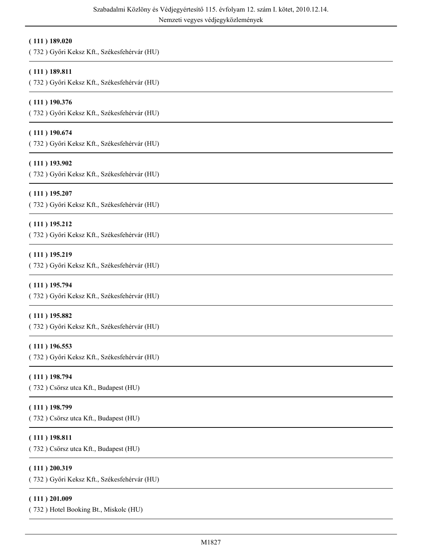#### **( 111 ) 189.020**

( 732 ) Győri Keksz Kft., Székesfehérvár (HU)

# **( 111 ) 189.811**

( 732 ) Győri Keksz Kft., Székesfehérvár (HU)

# **( 111 ) 190.376**

( 732 ) Győri Keksz Kft., Székesfehérvár (HU)

# **( 111 ) 190.674**

( 732 ) Győri Keksz Kft., Székesfehérvár (HU)

# **( 111 ) 193.902**

( 732 ) Győri Keksz Kft., Székesfehérvár (HU)

# **( 111 ) 195.207**

( 732 ) Győri Keksz Kft., Székesfehérvár (HU)

# **( 111 ) 195.212**

( 732 ) Győri Keksz Kft., Székesfehérvár (HU)

# **( 111 ) 195.219**

( 732 ) Győri Keksz Kft., Székesfehérvár (HU)

# **( 111 ) 195.794**

( 732 ) Győri Keksz Kft., Székesfehérvár (HU)

#### **( 111 ) 195.882**

( 732 ) Győri Keksz Kft., Székesfehérvár (HU)

# **( 111 ) 196.553**

( 732 ) Győri Keksz Kft., Székesfehérvár (HU)

#### **( 111 ) 198.794**

( 732 ) Csörsz utca Kft., Budapest (HU)

#### **( 111 ) 198.799**

( 732 ) Csörsz utca Kft., Budapest (HU)

# **( 111 ) 198.811**

( 732 ) Csörsz utca Kft., Budapest (HU)

#### **( 111 ) 200.319**

( 732 ) Győri Keksz Kft., Székesfehérvár (HU)

#### **( 111 ) 201.009**

( 732 ) Hotel Booking Bt., Miskolc (HU)